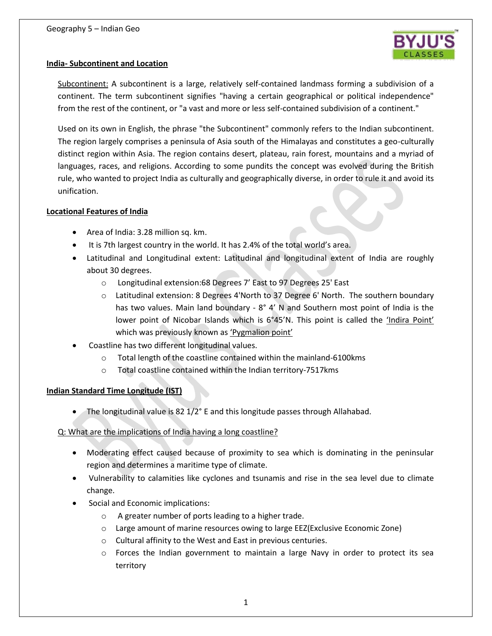

### **India- Subcontinent and Location**

Subcontinent: A subcontinent is a large, relatively self-contained landmass forming a subdivision of a continent. The term subcontinent signifies "having a certain geographical or political independence" from the rest of the continent, or "a vast and more or less self-contained subdivision of a continent."

Used on its own in English, the phrase "the Subcontinent" commonly refers to the Indian subcontinent. The region largely comprises a peninsula of Asia south of the Himalayas and constitutes a geo-culturally distinct region within Asia. The region contains desert, plateau, rain forest, mountains and a myriad of languages, races, and religions. According to some pundits the concept was evolved during the British rule, who wanted to project India as culturally and geographically diverse, in order to rule it and avoid its unification.

### **Locational Features of India**

- Area of India: 3.28 million sq. km.
- It is 7th largest country in the world. It has 2.4% of the total world's area.
- Latitudinal and Longitudinal extent: Latitudinal and longitudinal extent of India are roughly about 30 degrees.
	- o Longitudinal extension:68 Degrees 7' East to 97 Degrees 25' East
	- o Latitudinal extension: 8 Degrees 4'North to 37 Degree 6' North. The southern boundary has two values. Main land boundary - 8° 4' N and Southern most point of India is the lower point of Nicobar Islands which is 6°45'N. This point is called the 'Indira Point' which was previously known as 'Pygmalion point'
- Coastline has two different longitudinal values.
	- o Total length of the coastline contained within the mainland-6100kms
	- o Total coastline contained within the Indian territory-7517kms

### **Indian Standard Time Longitude (IST)**

• The longitudinal value is 82 1/2° E and this longitude passes through Allahabad.

### Q: What are the implications of India having a long coastline?

- Moderating effect caused because of proximity to sea which is dominating in the peninsular region and determines a maritime type of climate.
- Vulnerability to calamities like cyclones and tsunamis and rise in the sea level due to climate change.
- Social and Economic implications:
	- o A greater number of ports leading to a higher trade.
	- o Large amount of marine resources owing to large EEZ(Exclusive Economic Zone)
	- o Cultural affinity to the West and East in previous centuries.
	- $\circ$  Forces the Indian government to maintain a large Navy in order to protect its sea territory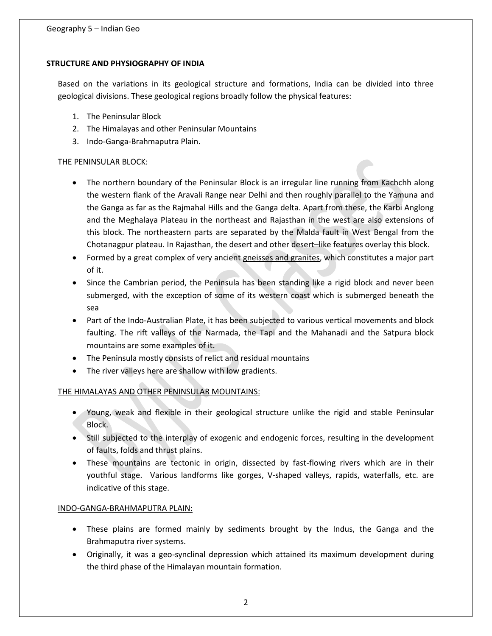## **STRUCTURE AND PHYSIOGRAPHY OF INDIA**

Based on the variations in its geological structure and formations, India can be divided into three geological divisions. These geological regions broadly follow the physical features:

- 1. The Peninsular Block
- 2. The Himalayas and other Peninsular Mountains
- 3. Indo-Ganga-Brahmaputra Plain.

# THE PENINSULAR BLOCK:

- The northern boundary of the Peninsular Block is an irregular line running from Kachchh along the western flank of the Aravali Range near Delhi and then roughly parallel to the Yamuna and the Ganga as far as the Rajmahal Hills and the Ganga delta. Apart from these, the Karbi Anglong and the Meghalaya Plateau in the northeast and Rajasthan in the west are also extensions of this block. The northeastern parts are separated by the Malda fault in West Bengal from the Chotanagpur plateau. In Rajasthan, the desert and other desert–like features overlay this block.
- Formed by a great complex of very ancient gneisses and granites, which constitutes a major part of it.
- Since the Cambrian period, the Peninsula has been standing like a rigid block and never been submerged, with the exception of some of its western coast which is submerged beneath the sea
- Part of the Indo-Australian Plate, it has been subjected to various vertical movements and block faulting. The rift valleys of the Narmada, the Tapi and the Mahanadi and the Satpura block mountains are some examples of it.
- The Peninsula mostly consists of relict and residual mountains
- The river valleys here are shallow with low gradients.

# THE HIMALAYAS AND OTHER PENINSULAR MOUNTAINS:

- Young, weak and flexible in their geological structure unlike the rigid and stable Peninsular Block.
- Still subjected to the interplay of exogenic and endogenic forces, resulting in the development of faults, folds and thrust plains.
- These mountains are tectonic in origin, dissected by fast-flowing rivers which are in their youthful stage. Various landforms like gorges, V-shaped valleys, rapids, waterfalls, etc. are indicative of this stage.

### INDO-GANGA-BRAHMAPUTRA PLAIN:

- These plains are formed mainly by sediments brought by the Indus, the Ganga and the Brahmaputra river systems.
- Originally, it was a geo-synclinal depression which attained its maximum development during the third phase of the Himalayan mountain formation.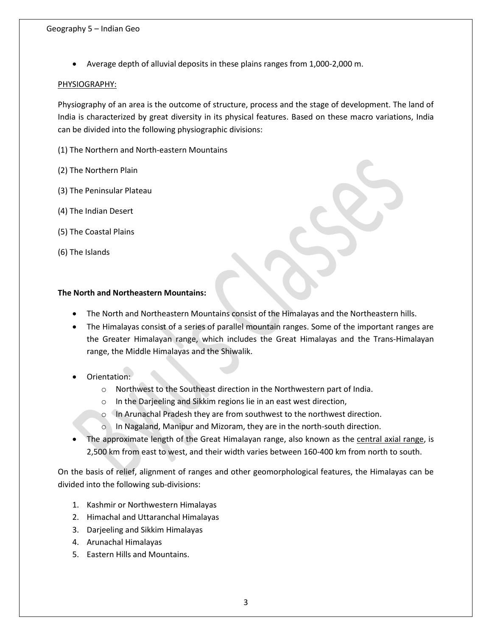Average depth of alluvial deposits in these plains ranges from 1,000-2,000 m.

### PHYSIOGRAPHY:

Physiography of an area is the outcome of structure, process and the stage of development. The land of India is characterized by great diversity in its physical features. Based on these macro variations, India can be divided into the following physiographic divisions:

(1) The Northern and North-eastern Mountains

- (2) The Northern Plain
- (3) The Peninsular Plateau
- (4) The Indian Desert
- (5) The Coastal Plains
- (6) The Islands

# **The North and Northeastern Mountains:**

- The North and Northeastern Mountains consist of the Himalayas and the Northeastern hills.
- The Himalayas consist of a series of parallel mountain ranges. Some of the important ranges are the Greater Himalayan range, which includes the Great Himalayas and the Trans-Himalayan range, the Middle Himalayas and the Shiwalik.
- Orientation:
	- o Northwest to the Southeast direction in the Northwestern part of India.
	- o In the Darjeeling and Sikkim regions lie in an east west direction,
	- o In Arunachal Pradesh they are from southwest to the northwest direction.
	- o In Nagaland, Manipur and Mizoram, they are in the north-south direction.
- The approximate length of the Great Himalayan range, also known as the central axial range, is 2,500 km from east to west, and their width varies between 160-400 km from north to south.

On the basis of relief, alignment of ranges and other geomorphological features, the Himalayas can be divided into the following sub-divisions:

- 1. Kashmir or Northwestern Himalayas
- 2. Himachal and Uttaranchal Himalayas
- 3. Darjeeling and Sikkim Himalayas
- 4. Arunachal Himalayas
- 5. Eastern Hills and Mountains.